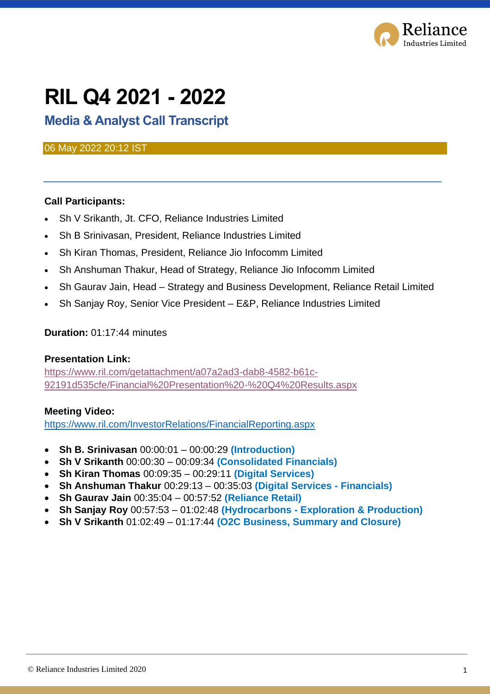

# **RIL Q4 2021 - 2022**

### **Media & Analyst Call Transcript**

#### 06 May 2022 20:12 IST

#### **Call Participants:**

- Sh V Srikanth, Jt. CFO, Reliance Industries Limited
- Sh B Srinivasan, President, Reliance Industries Limited
- Sh Kiran Thomas, President, Reliance Jio Infocomm Limited
- Sh Anshuman Thakur, Head of Strategy, Reliance Jio Infocomm Limited
- Sh Gaurav Jain, Head Strategy and Business Development, Reliance Retail Limited
- Sh Sanjay Roy, Senior Vice President E&P, Reliance Industries Limited

#### **Duration:** 01:17:44 minutes

#### **Presentation Link:**

[https://www.ril.com/getattachment/a07a2ad3-dab8-4582-b61c-](https://www.ril.com/getattachment/a07a2ad3-dab8-4582-b61c-92191d535cfe/Financial%20Presentation%20-%20Q4%20Results.aspx)[92191d535cfe/Financial%20Presentation%20-%20Q4%20Results.aspx](https://www.ril.com/getattachment/a07a2ad3-dab8-4582-b61c-92191d535cfe/Financial%20Presentation%20-%20Q4%20Results.aspx)

#### **Meeting Video:**

<https://www.ril.com/InvestorRelations/FinancialReporting.aspx>

- **Sh B. Srinivasan** 00:00:01 00:00:29 **(Introduction)**
- **Sh V Srikanth** 00:00:30 00:09:34 **(Consolidated Financials)**
- **Sh Kiran Thomas** 00:09:35 00:29:11 **(Digital Services)**
- **Sh Anshuman Thakur** 00:29:13 00:35:03 **(Digital Services - Financials)**
- **Sh Gaurav Jain** 00:35:04 00:57:52 **(Reliance Retail)**
- **Sh Sanjay Roy** 00:57:53 01:02:48 **(Hydrocarbons - Exploration & Production)**
- **Sh V Srikanth** 01:02:49 01:17:44 **(O2C Business, Summary and Closure)**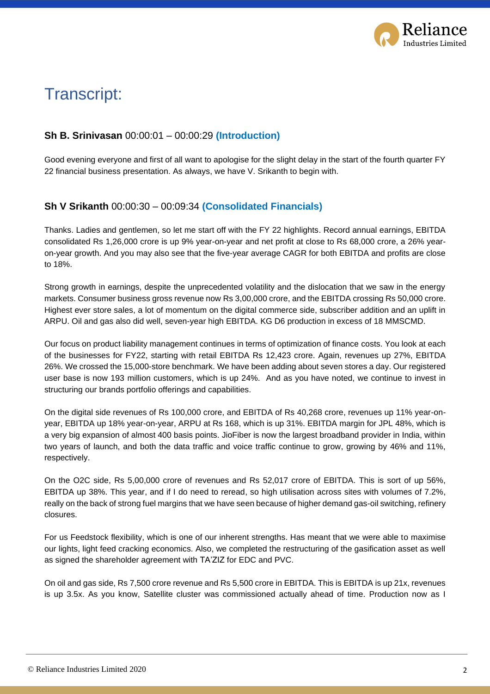

## Transcript:

#### **Sh B. Srinivasan** 00:00:01 – 00:00:29 **(Introduction)**

Good evening everyone and first of all want to apologise for the slight delay in the start of the fourth quarter FY 22 financial business presentation. As always, we have V. Srikanth to begin with.

#### **Sh V Srikanth** 00:00:30 – 00:09:34 **(Consolidated Financials)**

Thanks. Ladies and gentlemen, so let me start off with the FY 22 highlights. Record annual earnings, EBITDA consolidated Rs 1,26,000 crore is up 9% year-on-year and net profit at close to Rs 68,000 crore, a 26% yearon-year growth. And you may also see that the five-year average CAGR for both EBITDA and profits are close to 18%.

Strong growth in earnings, despite the unprecedented volatility and the dislocation that we saw in the energy markets. Consumer business gross revenue now Rs 3,00,000 crore, and the EBITDA crossing Rs 50,000 crore. Highest ever store sales, a lot of momentum on the digital commerce side, subscriber addition and an uplift in ARPU. Oil and gas also did well, seven-year high EBITDA. KG D6 production in excess of 18 MMSCMD.

Our focus on product liability management continues in terms of optimization of finance costs. You look at each of the businesses for FY22, starting with retail EBITDA Rs 12,423 crore. Again, revenues up 27%, EBITDA 26%. We crossed the 15,000-store benchmark. We have been adding about seven stores a day. Our registered user base is now 193 million customers, which is up 24%. And as you have noted, we continue to invest in structuring our brands portfolio offerings and capabilities.

On the digital side revenues of Rs 100,000 crore, and EBITDA of Rs 40,268 crore, revenues up 11% year-onyear, EBITDA up 18% year-on-year, ARPU at Rs 168, which is up 31%. EBITDA margin for JPL 48%, which is a very big expansion of almost 400 basis points. JioFiber is now the largest broadband provider in India, within two years of launch, and both the data traffic and voice traffic continue to grow, growing by 46% and 11%, respectively.

On the O2C side, Rs 5,00,000 crore of revenues and Rs 52,017 crore of EBITDA. This is sort of up 56%, EBITDA up 38%. This year, and if I do need to reread, so high utilisation across sites with volumes of 7.2%, really on the back of strong fuel margins that we have seen because of higher demand gas-oil switching, refinery closures.

For us Feedstock flexibility, which is one of our inherent strengths. Has meant that we were able to maximise our lights, light feed cracking economics. Also, we completed the restructuring of the gasification asset as well as signed the shareholder agreement with TA'ZIZ for EDC and PVC.

On oil and gas side, Rs 7,500 crore revenue and Rs 5,500 crore in EBITDA. This is EBITDA is up 21x, revenues is up 3.5x. As you know, Satellite cluster was commissioned actually ahead of time. Production now as I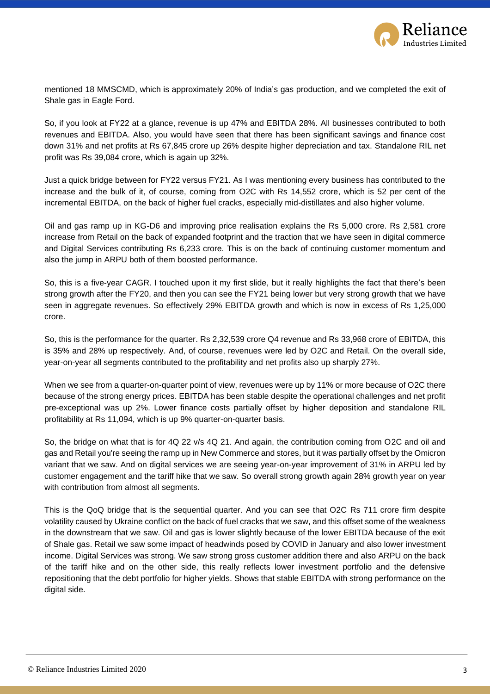

mentioned 18 MMSCMD, which is approximately 20% of India's gas production, and we completed the exit of Shale gas in Eagle Ford.

So, if you look at FY22 at a glance, revenue is up 47% and EBITDA 28%. All businesses contributed to both revenues and EBITDA. Also, you would have seen that there has been significant savings and finance cost down 31% and net profits at Rs 67,845 crore up 26% despite higher depreciation and tax. Standalone RIL net profit was Rs 39,084 crore, which is again up 32%.

Just a quick bridge between for FY22 versus FY21. As I was mentioning every business has contributed to the increase and the bulk of it, of course, coming from O2C with Rs 14,552 crore, which is 52 per cent of the incremental EBITDA, on the back of higher fuel cracks, especially mid-distillates and also higher volume.

Oil and gas ramp up in KG-D6 and improving price realisation explains the Rs 5,000 crore. Rs 2,581 crore increase from Retail on the back of expanded footprint and the traction that we have seen in digital commerce and Digital Services contributing Rs 6,233 crore. This is on the back of continuing customer momentum and also the jump in ARPU both of them boosted performance.

So, this is a five-year CAGR. I touched upon it my first slide, but it really highlights the fact that there's been strong growth after the FY20, and then you can see the FY21 being lower but very strong growth that we have seen in aggregate revenues. So effectively 29% EBITDA growth and which is now in excess of Rs 1,25,000 crore.

So, this is the performance for the quarter. Rs 2,32,539 crore Q4 revenue and Rs 33,968 crore of EBITDA, this is 35% and 28% up respectively. And, of course, revenues were led by O2C and Retail. On the overall side, year-on-year all segments contributed to the profitability and net profits also up sharply 27%.

When we see from a quarter-on-quarter point of view, revenues were up by 11% or more because of O2C there because of the strong energy prices. EBITDA has been stable despite the operational challenges and net profit pre-exceptional was up 2%. Lower finance costs partially offset by higher deposition and standalone RIL profitability at Rs 11,094, which is up 9% quarter-on-quarter basis.

So, the bridge on what that is for 4Q 22 v/s 4Q 21. And again, the contribution coming from O2C and oil and gas and Retail you're seeing the ramp up in New Commerce and stores, but it was partially offset by the Omicron variant that we saw. And on digital services we are seeing year-on-year improvement of 31% in ARPU led by customer engagement and the tariff hike that we saw. So overall strong growth again 28% growth year on year with contribution from almost all segments.

This is the QoQ bridge that is the sequential quarter. And you can see that O2C Rs 711 crore firm despite volatility caused by Ukraine conflict on the back of fuel cracks that we saw, and this offset some of the weakness in the downstream that we saw. Oil and gas is lower slightly because of the lower EBITDA because of the exit of Shale gas. Retail we saw some impact of headwinds posed by COVID in January and also lower investment income. Digital Services was strong. We saw strong gross customer addition there and also ARPU on the back of the tariff hike and on the other side, this really reflects lower investment portfolio and the defensive repositioning that the debt portfolio for higher yields. Shows that stable EBITDA with strong performance on the digital side.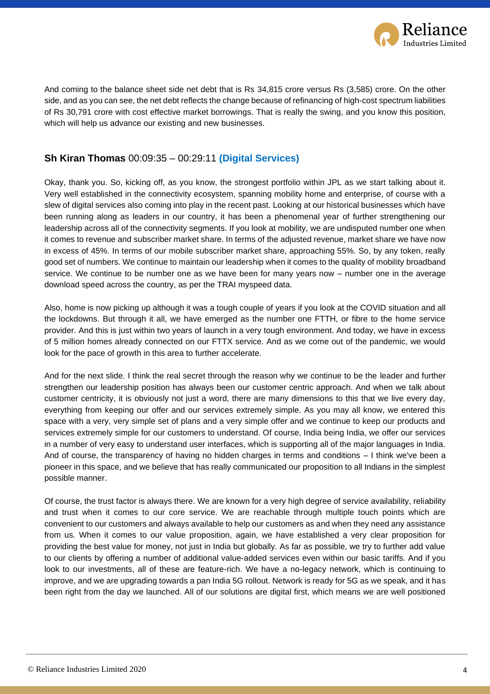

And coming to the balance sheet side net debt that is Rs 34,815 crore versus Rs (3,585) crore. On the other side, and as you can see, the net debt reflects the change because of refinancing of high-cost spectrum liabilities of Rs 30,791 crore with cost effective market borrowings. That is really the swing, and you know this position, which will help us advance our existing and new businesses.

#### **Sh Kiran Thomas** 00:09:35 – 00:29:11 **(Digital Services)**

Okay, thank you. So, kicking off, as you know, the strongest portfolio within JPL as we start talking about it. Very well established in the connectivity ecosystem, spanning mobility home and enterprise, of course with a slew of digital services also coming into play in the recent past. Looking at our historical businesses which have been running along as leaders in our country, it has been a phenomenal year of further strengthening our leadership across all of the connectivity segments. If you look at mobility, we are undisputed number one when it comes to revenue and subscriber market share. In terms of the adjusted revenue, market share we have now in excess of 45%. In terms of our mobile subscriber market share, approaching 55%. So, by any token, really good set of numbers. We continue to maintain our leadership when it comes to the quality of mobility broadband service. We continue to be number one as we have been for many years now – number one in the average download speed across the country, as per the TRAI myspeed data.

Also, home is now picking up although it was a tough couple of years if you look at the COVID situation and all the lockdowns. But through it all, we have emerged as the number one FTTH, or fibre to the home service provider. And this is just within two years of launch in a very tough environment. And today, we have in excess of 5 million homes already connected on our FTTX service. And as we come out of the pandemic, we would look for the pace of growth in this area to further accelerate.

And for the next slide. I think the real secret through the reason why we continue to be the leader and further strengthen our leadership position has always been our customer centric approach. And when we talk about customer centricity, it is obviously not just a word, there are many dimensions to this that we live every day, everything from keeping our offer and our services extremely simple. As you may all know, we entered this space with a very, very simple set of plans and a very simple offer and we continue to keep our products and services extremely simple for our customers to understand. Of course, India being India, we offer our services in a number of very easy to understand user interfaces, which is supporting all of the major languages in India. And of course, the transparency of having no hidden charges in terms and conditions – I think we've been a pioneer in this space, and we believe that has really communicated our proposition to all Indians in the simplest possible manner.

Of course, the trust factor is always there. We are known for a very high degree of service availability, reliability and trust when it comes to our core service. We are reachable through multiple touch points which are convenient to our customers and always available to help our customers as and when they need any assistance from us. When it comes to our value proposition, again, we have established a very clear proposition for providing the best value for money, not just in India but globally. As far as possible, we try to further add value to our clients by offering a number of additional value-added services even within our basic tariffs. And if you look to our investments, all of these are feature-rich. We have a no-legacy network, which is continuing to improve, and we are upgrading towards a pan India 5G rollout. Network is ready for 5G as we speak, and it has been right from the day we launched. All of our solutions are digital first, which means we are well positioned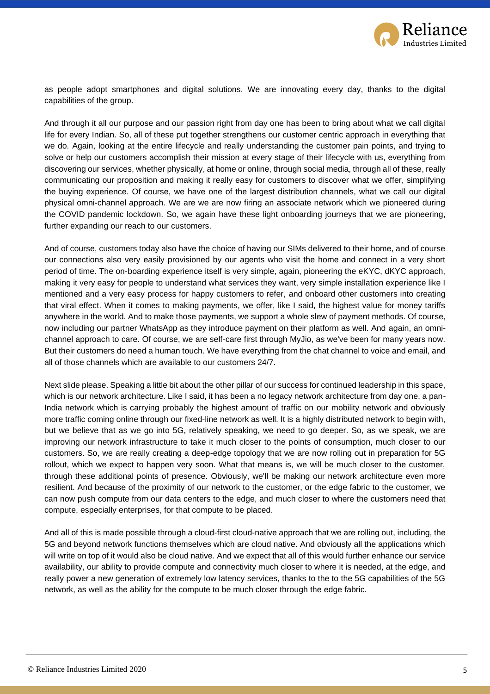

as people adopt smartphones and digital solutions. We are innovating every day, thanks to the digital capabilities of the group.

And through it all our purpose and our passion right from day one has been to bring about what we call digital life for every Indian. So, all of these put together strengthens our customer centric approach in everything that we do. Again, looking at the entire lifecycle and really understanding the customer pain points, and trying to solve or help our customers accomplish their mission at every stage of their lifecycle with us, everything from discovering our services, whether physically, at home or online, through social media, through all of these, really communicating our proposition and making it really easy for customers to discover what we offer, simplifying the buying experience. Of course, we have one of the largest distribution channels, what we call our digital physical omni-channel approach. We are we are now firing an associate network which we pioneered during the COVID pandemic lockdown. So, we again have these light onboarding journeys that we are pioneering, further expanding our reach to our customers.

And of course, customers today also have the choice of having our SIMs delivered to their home, and of course our connections also very easily provisioned by our agents who visit the home and connect in a very short period of time. The on-boarding experience itself is very simple, again, pioneering the eKYC, dKYC approach, making it very easy for people to understand what services they want, very simple installation experience like I mentioned and a very easy process for happy customers to refer, and onboard other customers into creating that viral effect. When it comes to making payments, we offer, like I said, the highest value for money tariffs anywhere in the world. And to make those payments, we support a whole slew of payment methods. Of course, now including our partner WhatsApp as they introduce payment on their platform as well. And again, an omnichannel approach to care. Of course, we are self-care first through MyJio, as we've been for many years now. But their customers do need a human touch. We have everything from the chat channel to voice and email, and all of those channels which are available to our customers 24/7.

Next slide please. Speaking a little bit about the other pillar of our success for continued leadership in this space, which is our network architecture. Like I said, it has been a no legacy network architecture from day one, a pan-India network which is carrying probably the highest amount of traffic on our mobility network and obviously more traffic coming online through our fixed-line network as well. It is a highly distributed network to begin with, but we believe that as we go into 5G, relatively speaking, we need to go deeper. So, as we speak, we are improving our network infrastructure to take it much closer to the points of consumption, much closer to our customers. So, we are really creating a deep-edge topology that we are now rolling out in preparation for 5G rollout, which we expect to happen very soon. What that means is, we will be much closer to the customer, through these additional points of presence. Obviously, we'll be making our network architecture even more resilient. And because of the proximity of our network to the customer, or the edge fabric to the customer, we can now push compute from our data centers to the edge, and much closer to where the customers need that compute, especially enterprises, for that compute to be placed.

And all of this is made possible through a cloud-first cloud-native approach that we are rolling out, including, the 5G and beyond network functions themselves which are cloud native. And obviously all the applications which will write on top of it would also be cloud native. And we expect that all of this would further enhance our service availability, our ability to provide compute and connectivity much closer to where it is needed, at the edge, and really power a new generation of extremely low latency services, thanks to the to the 5G capabilities of the 5G network, as well as the ability for the compute to be much closer through the edge fabric.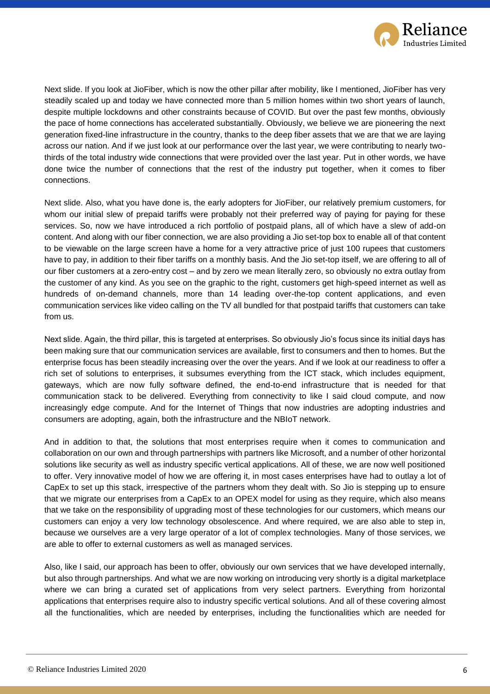

Next slide. If you look at JioFiber, which is now the other pillar after mobility, like I mentioned, JioFiber has very steadily scaled up and today we have connected more than 5 million homes within two short years of launch, despite multiple lockdowns and other constraints because of COVID. But over the past few months, obviously the pace of home connections has accelerated substantially. Obviously, we believe we are pioneering the next generation fixed-line infrastructure in the country, thanks to the deep fiber assets that we are that we are laying across our nation. And if we just look at our performance over the last year, we were contributing to nearly twothirds of the total industry wide connections that were provided over the last year. Put in other words, we have done twice the number of connections that the rest of the industry put together, when it comes to fiber connections.

Next slide. Also, what you have done is, the early adopters for JioFiber, our relatively premium customers, for whom our initial slew of prepaid tariffs were probably not their preferred way of paying for paying for these services. So, now we have introduced a rich portfolio of postpaid plans, all of which have a slew of add-on content. And along with our fiber connection, we are also providing a Jio set-top box to enable all of that content to be viewable on the large screen have a home for a very attractive price of just 100 rupees that customers have to pay, in addition to their fiber tariffs on a monthly basis. And the Jio set-top itself, we are offering to all of our fiber customers at a zero-entry cost – and by zero we mean literally zero, so obviously no extra outlay from the customer of any kind. As you see on the graphic to the right, customers get high-speed internet as well as hundreds of on-demand channels, more than 14 leading over-the-top content applications, and even communication services like video calling on the TV all bundled for that postpaid tariffs that customers can take from us.

Next slide. Again, the third pillar, this is targeted at enterprises. So obviously Jio's focus since its initial days has been making sure that our communication services are available, first to consumers and then to homes. But the enterprise focus has been steadily increasing over the over the years. And if we look at our readiness to offer a rich set of solutions to enterprises, it subsumes everything from the ICT stack, which includes equipment, gateways, which are now fully software defined, the end-to-end infrastructure that is needed for that communication stack to be delivered. Everything from connectivity to like I said cloud compute, and now increasingly edge compute. And for the Internet of Things that now industries are adopting industries and consumers are adopting, again, both the infrastructure and the NBIoT network.

And in addition to that, the solutions that most enterprises require when it comes to communication and collaboration on our own and through partnerships with partners like Microsoft, and a number of other horizontal solutions like security as well as industry specific vertical applications. All of these, we are now well positioned to offer. Very innovative model of how we are offering it, in most cases enterprises have had to outlay a lot of CapEx to set up this stack, irrespective of the partners whom they dealt with. So Jio is stepping up to ensure that we migrate our enterprises from a CapEx to an OPEX model for using as they require, which also means that we take on the responsibility of upgrading most of these technologies for our customers, which means our customers can enjoy a very low technology obsolescence. And where required, we are also able to step in, because we ourselves are a very large operator of a lot of complex technologies. Many of those services, we are able to offer to external customers as well as managed services.

Also, like I said, our approach has been to offer, obviously our own services that we have developed internally, but also through partnerships. And what we are now working on introducing very shortly is a digital marketplace where we can bring a curated set of applications from very select partners. Everything from horizontal applications that enterprises require also to industry specific vertical solutions. And all of these covering almost all the functionalities, which are needed by enterprises, including the functionalities which are needed for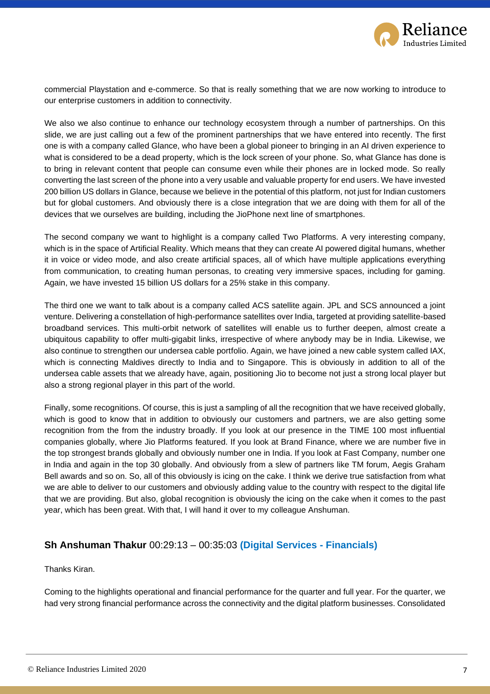

commercial Playstation and e-commerce. So that is really something that we are now working to introduce to our enterprise customers in addition to connectivity.

We also we also continue to enhance our technology ecosystem through a number of partnerships. On this slide, we are just calling out a few of the prominent partnerships that we have entered into recently. The first one is with a company called Glance, who have been a global pioneer to bringing in an AI driven experience to what is considered to be a dead property, which is the lock screen of your phone. So, what Glance has done is to bring in relevant content that people can consume even while their phones are in locked mode. So really converting the last screen of the phone into a very usable and valuable property for end users. We have invested 200 billion US dollars in Glance, because we believe in the potential of this platform, not just for Indian customers but for global customers. And obviously there is a close integration that we are doing with them for all of the devices that we ourselves are building, including the JioPhone next line of smartphones.

The second company we want to highlight is a company called Two Platforms. A very interesting company, which is in the space of Artificial Reality. Which means that they can create AI powered digital humans, whether it in voice or video mode, and also create artificial spaces, all of which have multiple applications everything from communication, to creating human personas, to creating very immersive spaces, including for gaming. Again, we have invested 15 billion US dollars for a 25% stake in this company.

The third one we want to talk about is a company called ACS satellite again. JPL and SCS announced a joint venture. Delivering a constellation of high-performance satellites over India, targeted at providing satellite-based broadband services. This multi-orbit network of satellites will enable us to further deepen, almost create a ubiquitous capability to offer multi-gigabit links, irrespective of where anybody may be in India. Likewise, we also continue to strengthen our undersea cable portfolio. Again, we have joined a new cable system called IAX, which is connecting Maldives directly to India and to Singapore. This is obviously in addition to all of the undersea cable assets that we already have, again, positioning Jio to become not just a strong local player but also a strong regional player in this part of the world.

Finally, some recognitions. Of course, this is just a sampling of all the recognition that we have received globally, which is good to know that in addition to obviously our customers and partners, we are also getting some recognition from the from the industry broadly. If you look at our presence in the TIME 100 most influential companies globally, where Jio Platforms featured. If you look at Brand Finance, where we are number five in the top strongest brands globally and obviously number one in India. If you look at Fast Company, number one in India and again in the top 30 globally. And obviously from a slew of partners like TM forum, Aegis Graham Bell awards and so on. So, all of this obviously is icing on the cake. I think we derive true satisfaction from what we are able to deliver to our customers and obviously adding value to the country with respect to the digital life that we are providing. But also, global recognition is obviously the icing on the cake when it comes to the past year, which has been great. With that, I will hand it over to my colleague Anshuman.

#### **Sh Anshuman Thakur** 00:29:13 – 00:35:03 **(Digital Services - Financials)**

Thanks Kiran.

Coming to the highlights operational and financial performance for the quarter and full year. For the quarter, we had very strong financial performance across the connectivity and the digital platform businesses. Consolidated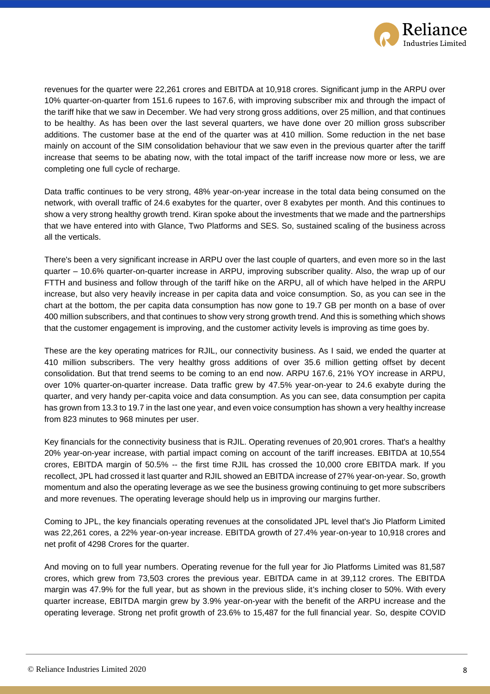

revenues for the quarter were 22,261 crores and EBITDA at 10,918 crores. Significant jump in the ARPU over 10% quarter-on-quarter from 151.6 rupees to 167.6, with improving subscriber mix and through the impact of the tariff hike that we saw in December. We had very strong gross additions, over 25 million, and that continues to be healthy. As has been over the last several quarters, we have done over 20 million gross subscriber additions. The customer base at the end of the quarter was at 410 million. Some reduction in the net base mainly on account of the SIM consolidation behaviour that we saw even in the previous quarter after the tariff increase that seems to be abating now, with the total impact of the tariff increase now more or less, we are completing one full cycle of recharge.

Data traffic continues to be very strong, 48% year-on-year increase in the total data being consumed on the network, with overall traffic of 24.6 exabytes for the quarter, over 8 exabytes per month. And this continues to show a very strong healthy growth trend. Kiran spoke about the investments that we made and the partnerships that we have entered into with Glance, Two Platforms and SES. So, sustained scaling of the business across all the verticals.

There's been a very significant increase in ARPU over the last couple of quarters, and even more so in the last quarter – 10.6% quarter-on-quarter increase in ARPU, improving subscriber quality. Also, the wrap up of our FTTH and business and follow through of the tariff hike on the ARPU, all of which have helped in the ARPU increase, but also very heavily increase in per capita data and voice consumption. So, as you can see in the chart at the bottom, the per capita data consumption has now gone to 19.7 GB per month on a base of over 400 million subscribers, and that continues to show very strong growth trend. And this is something which shows that the customer engagement is improving, and the customer activity levels is improving as time goes by.

These are the key operating matrices for RJIL, our connectivity business. As I said, we ended the quarter at 410 million subscribers. The very healthy gross additions of over 35.6 million getting offset by decent consolidation. But that trend seems to be coming to an end now. ARPU 167.6, 21% YOY increase in ARPU, over 10% quarter-on-quarter increase. Data traffic grew by 47.5% year-on-year to 24.6 exabyte during the quarter, and very handy per-capita voice and data consumption. As you can see, data consumption per capita has grown from 13.3 to 19.7 in the last one year, and even voice consumption has shown a very healthy increase from 823 minutes to 968 minutes per user.

Key financials for the connectivity business that is RJIL. Operating revenues of 20,901 crores. That's a healthy 20% year-on-year increase, with partial impact coming on account of the tariff increases. EBITDA at 10,554 crores, EBITDA margin of 50.5% -- the first time RJIL has crossed the 10,000 crore EBITDA mark. If you recollect, JPL had crossed it last quarter and RJIL showed an EBITDA increase of 27% year-on-year. So, growth momentum and also the operating leverage as we see the business growing continuing to get more subscribers and more revenues. The operating leverage should help us in improving our margins further.

Coming to JPL, the key financials operating revenues at the consolidated JPL level that's Jio Platform Limited was 22,261 cores, a 22% year-on-year increase. EBITDA growth of 27.4% year-on-year to 10,918 crores and net profit of 4298 Crores for the quarter.

And moving on to full year numbers. Operating revenue for the full year for Jio Platforms Limited was 81,587 crores, which grew from 73,503 crores the previous year. EBITDA came in at 39,112 crores. The EBITDA margin was 47.9% for the full year, but as shown in the previous slide, it's inching closer to 50%. With every quarter increase, EBITDA margin grew by 3.9% year-on-year with the benefit of the ARPU increase and the operating leverage. Strong net profit growth of 23.6% to 15,487 for the full financial year. So, despite COVID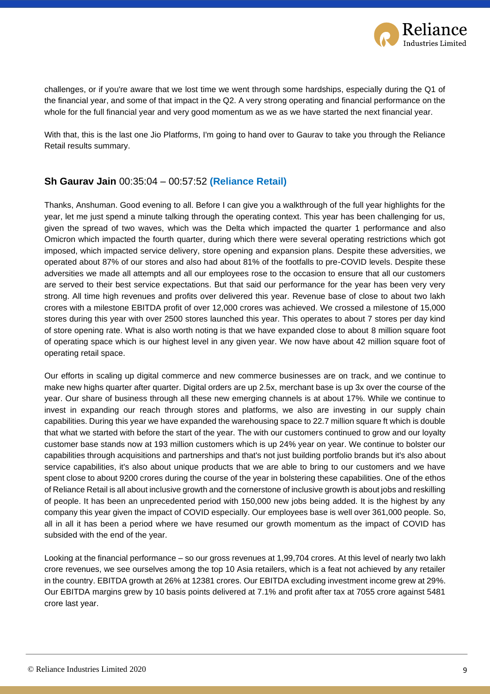

challenges, or if you're aware that we lost time we went through some hardships, especially during the Q1 of the financial year, and some of that impact in the Q2. A very strong operating and financial performance on the whole for the full financial year and very good momentum as we as we have started the next financial year.

With that, this is the last one Jio Platforms, I'm going to hand over to Gaurav to take you through the Reliance Retail results summary.

#### **Sh Gaurav Jain** 00:35:04 – 00:57:52 **(Reliance Retail)**

Thanks, Anshuman. Good evening to all. Before I can give you a walkthrough of the full year highlights for the year, let me just spend a minute talking through the operating context. This year has been challenging for us, given the spread of two waves, which was the Delta which impacted the quarter 1 performance and also Omicron which impacted the fourth quarter, during which there were several operating restrictions which got imposed, which impacted service delivery, store opening and expansion plans. Despite these adversities, we operated about 87% of our stores and also had about 81% of the footfalls to pre-COVID levels. Despite these adversities we made all attempts and all our employees rose to the occasion to ensure that all our customers are served to their best service expectations. But that said our performance for the year has been very very strong. All time high revenues and profits over delivered this year. Revenue base of close to about two lakh crores with a milestone EBITDA profit of over 12,000 crores was achieved. We crossed a milestone of 15,000 stores during this year with over 2500 stores launched this year. This operates to about 7 stores per day kind of store opening rate. What is also worth noting is that we have expanded close to about 8 million square foot of operating space which is our highest level in any given year. We now have about 42 million square foot of operating retail space.

Our efforts in scaling up digital commerce and new commerce businesses are on track, and we continue to make new highs quarter after quarter. Digital orders are up 2.5x, merchant base is up 3x over the course of the year. Our share of business through all these new emerging channels is at about 17%. While we continue to invest in expanding our reach through stores and platforms, we also are investing in our supply chain capabilities. During this year we have expanded the warehousing space to 22.7 million square ft which is double that what we started with before the start of the year. The with our customers continued to grow and our loyalty customer base stands now at 193 million customers which is up 24% year on year. We continue to bolster our capabilities through acquisitions and partnerships and that's not just building portfolio brands but it's also about service capabilities, it's also about unique products that we are able to bring to our customers and we have spent close to about 9200 crores during the course of the year in bolstering these capabilities. One of the ethos of Reliance Retail is all about inclusive growth and the cornerstone of inclusive growth is about jobs and reskilling of people. It has been an unprecedented period with 150,000 new jobs being added. It is the highest by any company this year given the impact of COVID especially. Our employees base is well over 361,000 people. So, all in all it has been a period where we have resumed our growth momentum as the impact of COVID has subsided with the end of the year.

Looking at the financial performance – so our gross revenues at 1,99,704 crores. At this level of nearly two lakh crore revenues, we see ourselves among the top 10 Asia retailers, which is a feat not achieved by any retailer in the country. EBITDA growth at 26% at 12381 crores. Our EBITDA excluding investment income grew at 29%. Our EBITDA margins grew by 10 basis points delivered at 7.1% and profit after tax at 7055 crore against 5481 crore last year.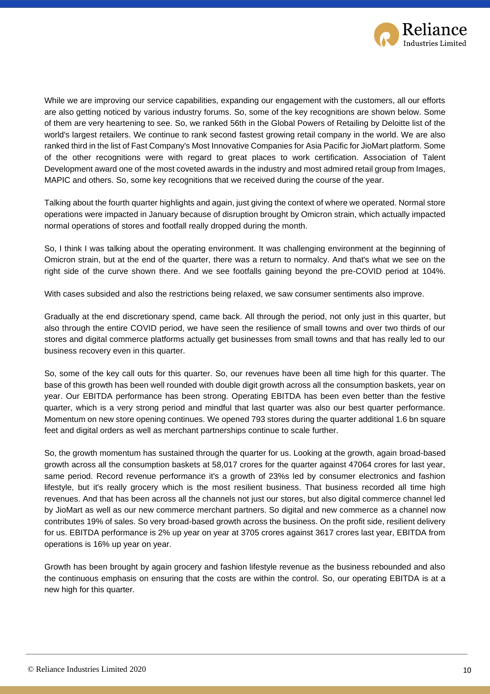

While we are improving our service capabilities, expanding our engagement with the customers, all our efforts are also getting noticed by various industry forums. So, some of the key recognitions are shown below. Some of them are very heartening to see. So, we ranked 56th in the Global Powers of Retailing by Deloitte list of the world's largest retailers. We continue to rank second fastest growing retail company in the world. We are also ranked third in the list of Fast Company's Most Innovative Companies for Asia Pacific for JioMart platform. Some of the other recognitions were with regard to great places to work certification. Association of Talent Development award one of the most coveted awards in the industry and most admired retail group from Images, MAPIC and others. So, some key recognitions that we received during the course of the year.

Talking about the fourth quarter highlights and again, just giving the context of where we operated. Normal store operations were impacted in January because of disruption brought by Omicron strain, which actually impacted normal operations of stores and footfall really dropped during the month.

So, I think I was talking about the operating environment. It was challenging environment at the beginning of Omicron strain, but at the end of the quarter, there was a return to normalcy. And that's what we see on the right side of the curve shown there. And we see footfalls gaining beyond the pre-COVID period at 104%.

With cases subsided and also the restrictions being relaxed, we saw consumer sentiments also improve.

Gradually at the end discretionary spend, came back. All through the period, not only just in this quarter, but also through the entire COVID period, we have seen the resilience of small towns and over two thirds of our stores and digital commerce platforms actually get businesses from small towns and that has really led to our business recovery even in this quarter.

So, some of the key call outs for this quarter. So, our revenues have been all time high for this quarter. The base of this growth has been well rounded with double digit growth across all the consumption baskets, year on year. Our EBITDA performance has been strong. Operating EBITDA has been even better than the festive quarter, which is a very strong period and mindful that last quarter was also our best quarter performance. Momentum on new store opening continues. We opened 793 stores during the quarter additional 1.6 bn square feet and digital orders as well as merchant partnerships continue to scale further.

So, the growth momentum has sustained through the quarter for us. Looking at the growth, again broad-based growth across all the consumption baskets at 58,017 crores for the quarter against 47064 crores for last year, same period. Record revenue performance it's a growth of 23%s led by consumer electronics and fashion lifestyle, but it's really grocery which is the most resilient business. That business recorded all time high revenues. And that has been across all the channels not just our stores, but also digital commerce channel led by JioMart as well as our new commerce merchant partners. So digital and new commerce as a channel now contributes 19% of sales. So very broad-based growth across the business. On the profit side, resilient delivery for us. EBITDA performance is 2% up year on year at 3705 crores against 3617 crores last year, EBITDA from operations is 16% up year on year.

Growth has been brought by again grocery and fashion lifestyle revenue as the business rebounded and also the continuous emphasis on ensuring that the costs are within the control. So, our operating EBITDA is at a new high for this quarter.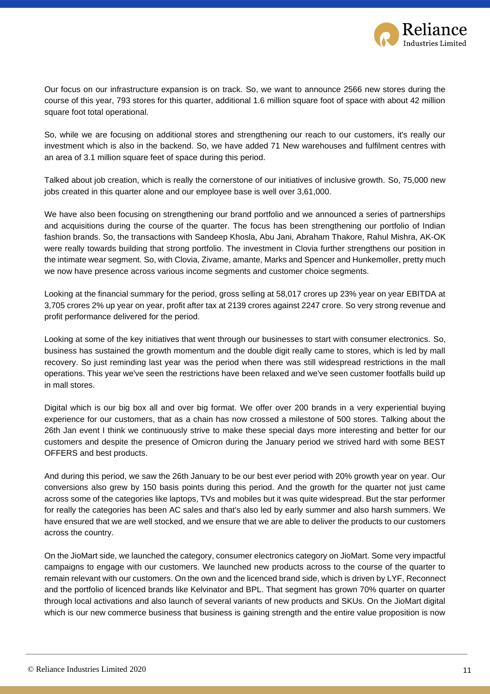

Our focus on our infrastructure expansion is on track. So, we want to announce 2566 new stores during the course of this year, 793 stores for this quarter, additional 1.6 million square foot of space with about 42 million square foot total operational.

So, while we are focusing on additional stores and strengthening our reach to our customers, it's really our investment which is also in the backend. So, we have added 71 New warehouses and fulfilment centres with an area of 3.1 million square feet of space during this period.

Talked about job creation, which is really the cornerstone of our initiatives of inclusive growth. So, 75,000 new jobs created in this quarter alone and our employee base is well over 3,61,000.

We have also been focusing on strengthening our brand portfolio and we announced a series of partnerships and acquisitions during the course of the quarter. The focus has been strengthening our portfolio of Indian fashion brands. So, the transactions with Sandeep Khosla, Abu Jani, Abraham Thakore, Rahul Mishra, AK-OK were really towards building that strong portfolio. The investment in Clovia further strengthens our position in the intimate wear segment. So, with Clovia, Zivame, amante, Marks and Spencer and Hunkemoller, pretty much we now have presence across various income segments and customer choice segments.

Looking at the financial summary for the period, gross selling at 58,017 crores up 23% year on year EBITDA at 3,705 crores 2% up year on year, profit after tax at 2139 crores against 2247 crore. So very strong revenue and profit performance delivered for the period.

Looking at some of the key initiatives that went through our businesses to start with consumer electronics. So, business has sustained the growth momentum and the double digit really came to stores, which is led by mall recovery. So just reminding last year was the period when there was still widespread restrictions in the mall operations. This year we've seen the restrictions have been relaxed and we've seen customer footfalls build up in mall stores.

Digital which is our big box all and over big format. We offer over 200 brands in a very experiential buying experience for our customers, that as a chain has now crossed a milestone of 500 stores. Talking about the 26th Jan event I think we continuously strive to make these special days more interesting and better for our customers and despite the presence of Omicron during the January period we strived hard with some BEST OFFERS and best products.

And during this period, we saw the 26th January to be our best ever period with 20% growth year on year. Our conversions also grew by 150 basis points during this period. And the growth for the quarter not just came across some of the categories like laptops, TVs and mobiles but it was quite widespread. But the star performer for really the categories has been AC sales and that's also led by early summer and also harsh summers. We have ensured that we are well stocked, and we ensure that we are able to deliver the products to our customers across the country.

On the JioMart side, we launched the category, consumer electronics category on JioMart. Some very impactful campaigns to engage with our customers. We launched new products across to the course of the quarter to remain relevant with our customers. On the own and the licenced brand side, which is driven by LYF, Reconnect and the portfolio of licenced brands like Kelvinator and BPL. That segment has grown 70% quarter on quarter through local activations and also launch of several variants of new products and SKUs. On the JioMart digital which is our new commerce business that business is gaining strength and the entire value proposition is now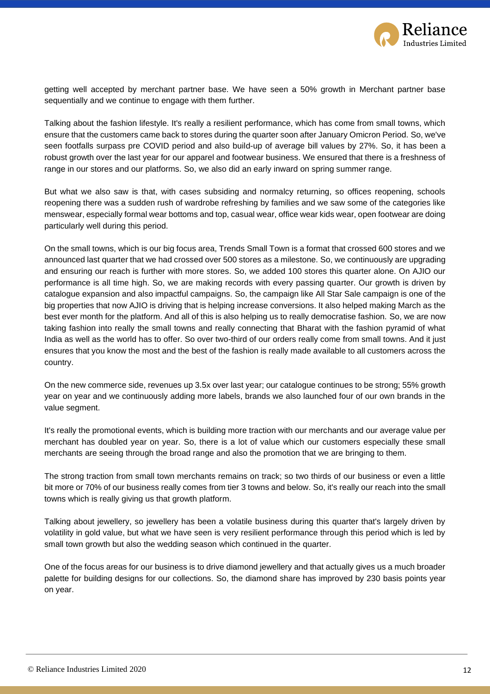

getting well accepted by merchant partner base. We have seen a 50% growth in Merchant partner base sequentially and we continue to engage with them further.

Talking about the fashion lifestyle. It's really a resilient performance, which has come from small towns, which ensure that the customers came back to stores during the quarter soon after January Omicron Period. So, we've seen footfalls surpass pre COVID period and also build-up of average bill values by 27%. So, it has been a robust growth over the last year for our apparel and footwear business. We ensured that there is a freshness of range in our stores and our platforms. So, we also did an early inward on spring summer range.

But what we also saw is that, with cases subsiding and normalcy returning, so offices reopening, schools reopening there was a sudden rush of wardrobe refreshing by families and we saw some of the categories like menswear, especially formal wear bottoms and top, casual wear, office wear kids wear, open footwear are doing particularly well during this period.

On the small towns, which is our big focus area, Trends Small Town is a format that crossed 600 stores and we announced last quarter that we had crossed over 500 stores as a milestone. So, we continuously are upgrading and ensuring our reach is further with more stores. So, we added 100 stores this quarter alone. On AJIO our performance is all time high. So, we are making records with every passing quarter. Our growth is driven by catalogue expansion and also impactful campaigns. So, the campaign like All Star Sale campaign is one of the big properties that now AJIO is driving that is helping increase conversions. It also helped making March as the best ever month for the platform. And all of this is also helping us to really democratise fashion. So, we are now taking fashion into really the small towns and really connecting that Bharat with the fashion pyramid of what India as well as the world has to offer. So over two-third of our orders really come from small towns. And it just ensures that you know the most and the best of the fashion is really made available to all customers across the country.

On the new commerce side, revenues up 3.5x over last year; our catalogue continues to be strong; 55% growth year on year and we continuously adding more labels, brands we also launched four of our own brands in the value segment.

It's really the promotional events, which is building more traction with our merchants and our average value per merchant has doubled year on year. So, there is a lot of value which our customers especially these small merchants are seeing through the broad range and also the promotion that we are bringing to them.

The strong traction from small town merchants remains on track; so two thirds of our business or even a little bit more or 70% of our business really comes from tier 3 towns and below. So, it's really our reach into the small towns which is really giving us that growth platform.

Talking about jewellery, so jewellery has been a volatile business during this quarter that's largely driven by volatility in gold value, but what we have seen is very resilient performance through this period which is led by small town growth but also the wedding season which continued in the quarter.

One of the focus areas for our business is to drive diamond jewellery and that actually gives us a much broader palette for building designs for our collections. So, the diamond share has improved by 230 basis points year on year.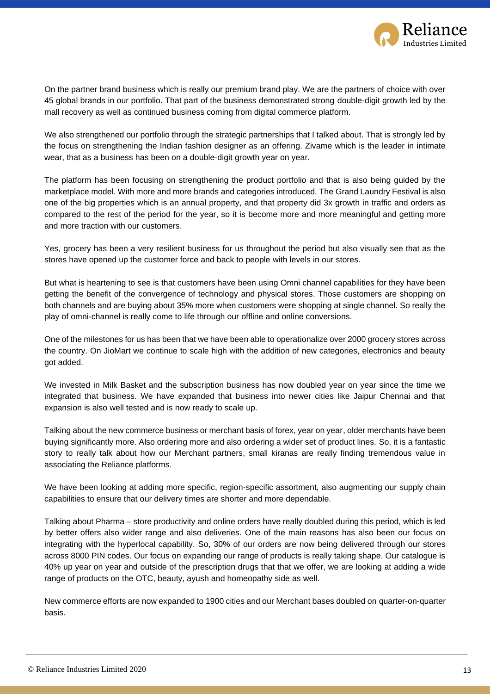

On the partner brand business which is really our premium brand play. We are the partners of choice with over 45 global brands in our portfolio. That part of the business demonstrated strong double-digit growth led by the mall recovery as well as continued business coming from digital commerce platform.

We also strengthened our portfolio through the strategic partnerships that I talked about. That is strongly led by the focus on strengthening the Indian fashion designer as an offering. Zivame which is the leader in intimate wear, that as a business has been on a double-digit growth year on year.

The platform has been focusing on strengthening the product portfolio and that is also being guided by the marketplace model. With more and more brands and categories introduced. The Grand Laundry Festival is also one of the big properties which is an annual property, and that property did 3x growth in traffic and orders as compared to the rest of the period for the year, so it is become more and more meaningful and getting more and more traction with our customers.

Yes, grocery has been a very resilient business for us throughout the period but also visually see that as the stores have opened up the customer force and back to people with levels in our stores.

But what is heartening to see is that customers have been using Omni channel capabilities for they have been getting the benefit of the convergence of technology and physical stores. Those customers are shopping on both channels and are buying about 35% more when customers were shopping at single channel. So really the play of omni-channel is really come to life through our offline and online conversions.

One of the milestones for us has been that we have been able to operationalize over 2000 grocery stores across the country. On JioMart we continue to scale high with the addition of new categories, electronics and beauty got added.

We invested in Milk Basket and the subscription business has now doubled year on year since the time we integrated that business. We have expanded that business into newer cities like Jaipur Chennai and that expansion is also well tested and is now ready to scale up.

Talking about the new commerce business or merchant basis of forex, year on year, older merchants have been buying significantly more. Also ordering more and also ordering a wider set of product lines. So, it is a fantastic story to really talk about how our Merchant partners, small kiranas are really finding tremendous value in associating the Reliance platforms.

We have been looking at adding more specific, region-specific assortment, also augmenting our supply chain capabilities to ensure that our delivery times are shorter and more dependable.

Talking about Pharma – store productivity and online orders have really doubled during this period, which is led by better offers also wider range and also deliveries. One of the main reasons has also been our focus on integrating with the hyperlocal capability. So, 30% of our orders are now being delivered through our stores across 8000 PIN codes. Our focus on expanding our range of products is really taking shape. Our catalogue is 40% up year on year and outside of the prescription drugs that that we offer, we are looking at adding a wide range of products on the OTC, beauty, ayush and homeopathy side as well.

New commerce efforts are now expanded to 1900 cities and our Merchant bases doubled on quarter-on-quarter basis.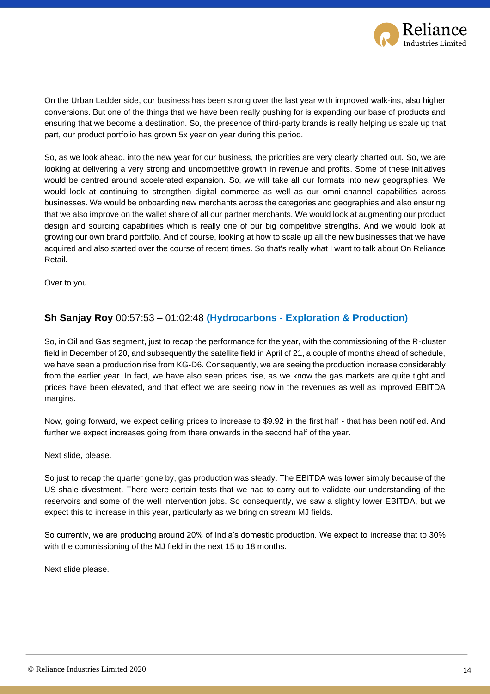

On the Urban Ladder side, our business has been strong over the last year with improved walk-ins, also higher conversions. But one of the things that we have been really pushing for is expanding our base of products and ensuring that we become a destination. So, the presence of third-party brands is really helping us scale up that part, our product portfolio has grown 5x year on year during this period.

So, as we look ahead, into the new year for our business, the priorities are very clearly charted out. So, we are looking at delivering a very strong and uncompetitive growth in revenue and profits. Some of these initiatives would be centred around accelerated expansion. So, we will take all our formats into new geographies. We would look at continuing to strengthen digital commerce as well as our omni-channel capabilities across businesses. We would be onboarding new merchants across the categories and geographies and also ensuring that we also improve on the wallet share of all our partner merchants. We would look at augmenting our product design and sourcing capabilities which is really one of our big competitive strengths. And we would look at growing our own brand portfolio. And of course, looking at how to scale up all the new businesses that we have acquired and also started over the course of recent times. So that's really what I want to talk about On Reliance Retail.

Over to you.

#### **Sh Sanjay Roy** 00:57:53 – 01:02:48 **(Hydrocarbons - Exploration & Production)**

So, in Oil and Gas segment, just to recap the performance for the year, with the commissioning of the R-cluster field in December of 20, and subsequently the satellite field in April of 21, a couple of months ahead of schedule, we have seen a production rise from KG-D6. Consequently, we are seeing the production increase considerably from the earlier year. In fact, we have also seen prices rise, as we know the gas markets are quite tight and prices have been elevated, and that effect we are seeing now in the revenues as well as improved EBITDA margins.

Now, going forward, we expect ceiling prices to increase to \$9.92 in the first half - that has been notified. And further we expect increases going from there onwards in the second half of the year.

Next slide, please.

So just to recap the quarter gone by, gas production was steady. The EBITDA was lower simply because of the US shale divestment. There were certain tests that we had to carry out to validate our understanding of the reservoirs and some of the well intervention jobs. So consequently, we saw a slightly lower EBITDA, but we expect this to increase in this year, particularly as we bring on stream MJ fields.

So currently, we are producing around 20% of India's domestic production. We expect to increase that to 30% with the commissioning of the MJ field in the next 15 to 18 months.

Next slide please.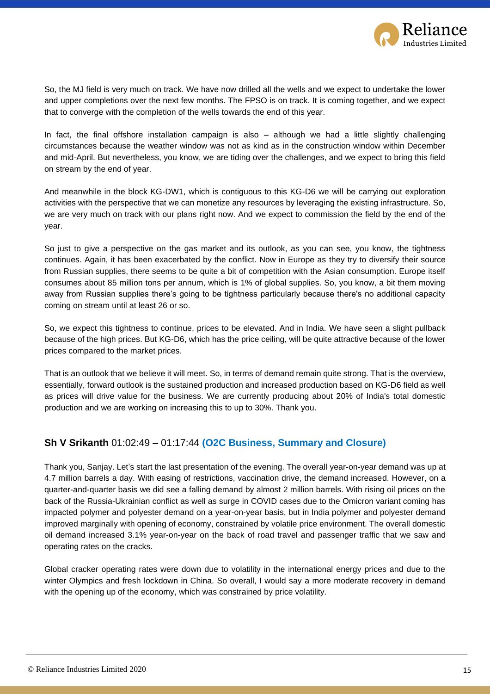

So, the MJ field is very much on track. We have now drilled all the wells and we expect to undertake the lower and upper completions over the next few months. The FPSO is on track. It is coming together, and we expect that to converge with the completion of the wells towards the end of this year.

In fact, the final offshore installation campaign is also – although we had a little slightly challenging circumstances because the weather window was not as kind as in the construction window within December and mid-April. But nevertheless, you know, we are tiding over the challenges, and we expect to bring this field on stream by the end of year.

And meanwhile in the block KG-DW1, which is contiguous to this KG-D6 we will be carrying out exploration activities with the perspective that we can monetize any resources by leveraging the existing infrastructure. So, we are very much on track with our plans right now. And we expect to commission the field by the end of the year.

So just to give a perspective on the gas market and its outlook, as you can see, you know, the tightness continues. Again, it has been exacerbated by the conflict. Now in Europe as they try to diversify their source from Russian supplies, there seems to be quite a bit of competition with the Asian consumption. Europe itself consumes about 85 million tons per annum, which is 1% of global supplies. So, you know, a bit them moving away from Russian supplies there's going to be tightness particularly because there's no additional capacity coming on stream until at least 26 or so.

So, we expect this tightness to continue, prices to be elevated. And in India. We have seen a slight pullback because of the high prices. But KG-D6, which has the price ceiling, will be quite attractive because of the lower prices compared to the market prices.

That is an outlook that we believe it will meet. So, in terms of demand remain quite strong. That is the overview, essentially, forward outlook is the sustained production and increased production based on KG-D6 field as well as prices will drive value for the business. We are currently producing about 20% of India's total domestic production and we are working on increasing this to up to 30%. Thank you.

#### **Sh V Srikanth** 01:02:49 – 01:17:44 **(O2C Business, Summary and Closure)**

Thank you, Sanjay. Let's start the last presentation of the evening. The overall year-on-year demand was up at 4.7 million barrels a day. With easing of restrictions, vaccination drive, the demand increased. However, on a quarter-and-quarter basis we did see a falling demand by almost 2 million barrels. With rising oil prices on the back of the Russia-Ukrainian conflict as well as surge in COVID cases due to the Omicron variant coming has impacted polymer and polyester demand on a year-on-year basis, but in India polymer and polyester demand improved marginally with opening of economy, constrained by volatile price environment. The overall domestic oil demand increased 3.1% year-on-year on the back of road travel and passenger traffic that we saw and operating rates on the cracks.

Global cracker operating rates were down due to volatility in the international energy prices and due to the winter Olympics and fresh lockdown in China. So overall, I would say a more moderate recovery in demand with the opening up of the economy, which was constrained by price volatility.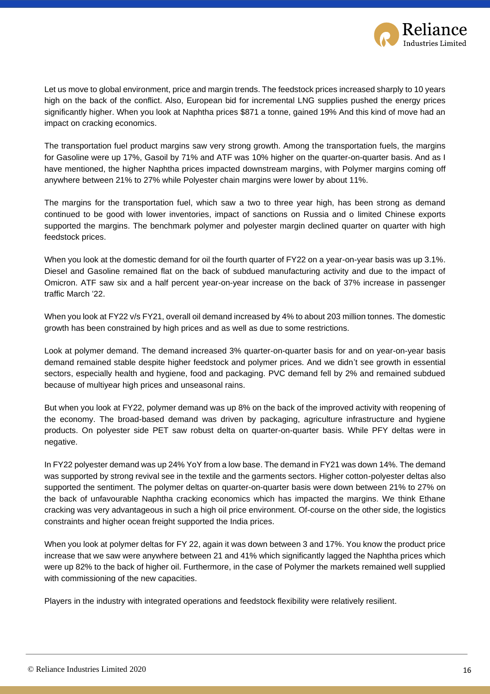

Let us move to global environment, price and margin trends. The feedstock prices increased sharply to 10 years high on the back of the conflict. Also, European bid for incremental LNG supplies pushed the energy prices significantly higher. When you look at Naphtha prices \$871 a tonne, gained 19% And this kind of move had an impact on cracking economics.

The transportation fuel product margins saw very strong growth. Among the transportation fuels, the margins for Gasoline were up 17%, Gasoil by 71% and ATF was 10% higher on the quarter-on-quarter basis. And as I have mentioned, the higher Naphtha prices impacted downstream margins, with Polymer margins coming off anywhere between 21% to 27% while Polyester chain margins were lower by about 11%.

The margins for the transportation fuel, which saw a two to three year high, has been strong as demand continued to be good with lower inventories, impact of sanctions on Russia and o limited Chinese exports supported the margins. The benchmark polymer and polyester margin declined quarter on quarter with high feedstock prices.

When you look at the domestic demand for oil the fourth quarter of FY22 on a year-on-year basis was up 3.1%. Diesel and Gasoline remained flat on the back of subdued manufacturing activity and due to the impact of Omicron. ATF saw six and a half percent year-on-year increase on the back of 37% increase in passenger traffic March '22.

When you look at FY22 v/s FY21, overall oil demand increased by 4% to about 203 million tonnes. The domestic growth has been constrained by high prices and as well as due to some restrictions.

Look at polymer demand. The demand increased 3% quarter-on-quarter basis for and on year-on-year basis demand remained stable despite higher feedstock and polymer prices. And we didn't see growth in essential sectors, especially health and hygiene, food and packaging. PVC demand fell by 2% and remained subdued because of multiyear high prices and unseasonal rains.

But when you look at FY22, polymer demand was up 8% on the back of the improved activity with reopening of the economy. The broad-based demand was driven by packaging, agriculture infrastructure and hygiene products. On polyester side PET saw robust delta on quarter-on-quarter basis. While PFY deltas were in negative.

In FY22 polyester demand was up 24% YoY from a low base. The demand in FY21 was down 14%. The demand was supported by strong revival see in the textile and the garments sectors. Higher cotton-polyester deltas also supported the sentiment. The polymer deltas on quarter-on-quarter basis were down between 21% to 27% on the back of unfavourable Naphtha cracking economics which has impacted the margins. We think Ethane cracking was very advantageous in such a high oil price environment. Of-course on the other side, the logistics constraints and higher ocean freight supported the India prices.

When you look at polymer deltas for FY 22, again it was down between 3 and 17%. You know the product price increase that we saw were anywhere between 21 and 41% which significantly lagged the Naphtha prices which were up 82% to the back of higher oil. Furthermore, in the case of Polymer the markets remained well supplied with commissioning of the new capacities.

Players in the industry with integrated operations and feedstock flexibility were relatively resilient.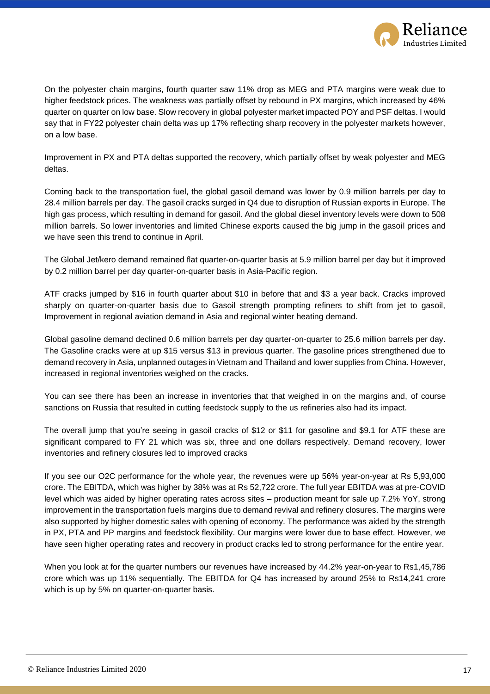

On the polyester chain margins, fourth quarter saw 11% drop as MEG and PTA margins were weak due to higher feedstock prices. The weakness was partially offset by rebound in PX margins, which increased by 46% quarter on quarter on low base. Slow recovery in global polyester market impacted POY and PSF deltas. I would say that in FY22 polyester chain delta was up 17% reflecting sharp recovery in the polyester markets however, on a low base.

Improvement in PX and PTA deltas supported the recovery, which partially offset by weak polyester and MEG deltas.

Coming back to the transportation fuel, the global gasoil demand was lower by 0.9 million barrels per day to 28.4 million barrels per day. The gasoil cracks surged in Q4 due to disruption of Russian exports in Europe. The high gas process, which resulting in demand for gasoil. And the global diesel inventory levels were down to 508 million barrels. So lower inventories and limited Chinese exports caused the big jump in the gasoil prices and we have seen this trend to continue in April.

The Global Jet/kero demand remained flat quarter-on-quarter basis at 5.9 million barrel per day but it improved by 0.2 million barrel per day quarter-on-quarter basis in Asia-Pacific region.

ATF cracks jumped by \$16 in fourth quarter about \$10 in before that and \$3 a year back. Cracks improved sharply on quarter-on-quarter basis due to Gasoil strength prompting refiners to shift from jet to gasoil, Improvement in regional aviation demand in Asia and regional winter heating demand.

Global gasoline demand declined 0.6 million barrels per day quarter-on-quarter to 25.6 million barrels per day. The Gasoline cracks were at up \$15 versus \$13 in previous quarter. The gasoline prices strengthened due to demand recovery in Asia, unplanned outages in Vietnam and Thailand and lower supplies from China. However, increased in regional inventories weighed on the cracks.

You can see there has been an increase in inventories that that weighed in on the margins and, of course sanctions on Russia that resulted in cutting feedstock supply to the us refineries also had its impact.

The overall jump that you're seeing in gasoil cracks of \$12 or \$11 for gasoline and \$9.1 for ATF these are significant compared to FY 21 which was six, three and one dollars respectively. Demand recovery, lower inventories and refinery closures led to improved cracks

If you see our O2C performance for the whole year, the revenues were up 56% year-on-year at Rs 5,93,000 crore. The EBITDA, which was higher by 38% was at Rs 52,722 crore. The full year EBITDA was at pre-COVID level which was aided by higher operating rates across sites – production meant for sale up 7.2% YoY, strong improvement in the transportation fuels margins due to demand revival and refinery closures. The margins were also supported by higher domestic sales with opening of economy. The performance was aided by the strength in PX, PTA and PP margins and feedstock flexibility. Our margins were lower due to base effect. However, we have seen higher operating rates and recovery in product cracks led to strong performance for the entire year.

When you look at for the quarter numbers our revenues have increased by 44.2% year-on-year to Rs1,45,786 crore which was up 11% sequentially. The EBITDA for Q4 has increased by around 25% to Rs14,241 crore which is up by 5% on quarter-on-quarter basis.